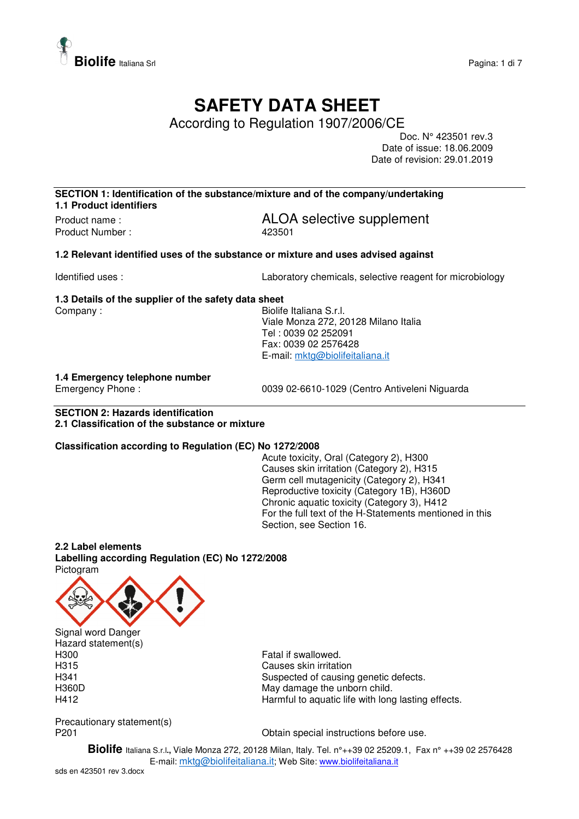

# **SAFETY DATA SHEET**

According to Regulation 1907/2006/CE

Doc. N° 423501 rev.3 Date of issue: 18.06.2009 Date of revision: 29.01.2019

**SECTION 1: Identification of the substance/mixture and of the company/undertaking 1.1 Product identifiers** 

Product Number : 423501

Product name :  $ALOA$  selective supplement

**1.2 Relevant identified uses of the substance or mixture and uses advised against** 

Identified uses : Laboratory chemicals, selective reagent for microbiology

### **1.3 Details of the supplier of the safety data sheet**  Company : Georgia Company : Georgia Company : Georgia Company : Georgia Company : Georgia Company : Georgia Company Street Section 1, 1999

 Viale Monza 272, 20128 Milano Italia Tel : 0039 02 252091 Fax: 0039 02 2576428 E-mail: mktg@biolifeitaliana.it

# **1.4 Emergency telephone number**

0039 02-6610-1029 (Centro Antiveleni Niguarda

## **SECTION 2: Hazards identification 2.1 Classification of the substance or mixture**

# **Classification according to Regulation (EC) No 1272/2008**

Acute toxicity, Oral (Category 2), H300 Causes skin irritation (Category 2), H315 Germ cell mutagenicity (Category 2), H341 Reproductive toxicity (Category 1B), H360D Chronic aquatic toxicity (Category 3), H412 For the full text of the H-Statements mentioned in this Section, see Section 16.

# **2.2 Label elements**

**Labelling according Regulation (EC) No 1272/2008**  Pictogram



Hazard statement(s)<br>H300

Fatal if swallowed. H315 Causes skin irritation H341 **Suspected of causing genetic defects.**<br>H360D **Support Contract Contract May damage the upborn child** May damage the unborn child. H412 Harmful to aquatic life with long lasting effects.

Precautionary statement(s)

P201 **Detain special instructions before use.** Obtain special instructions before use.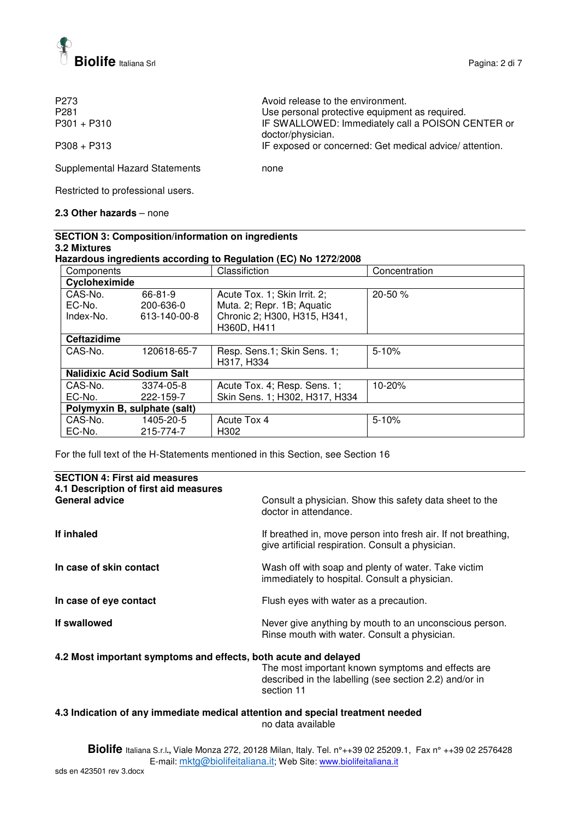

| P <sub>273</sub><br>P <sub>281</sub> | Avoid release to the environment.<br>Use personal protective equipment as required. |
|--------------------------------------|-------------------------------------------------------------------------------------|
| $P301 + P310$                        | IF SWALLOWED: Immediately call a POISON CENTER or                                   |
| $P308 + P313$                        | doctor/physician.<br>IF exposed or concerned: Get medical advice/attention.         |

Supplemental Hazard Statements none

Restricted to professional users.

## **2.3 Other hazards** – none

| <b>SECTION 3: Composition/information on ingredients</b>        |
|-----------------------------------------------------------------|
| 3.2 Mixtures                                                    |
| Hazardous ingredients according to Regulation (EC) No 1272/2008 |
|                                                                 |

| Components                        |              | Classifiction                  | Concentration |
|-----------------------------------|--------------|--------------------------------|---------------|
| Cycloheximide                     |              |                                |               |
| CAS-No.                           | 66-81-9      | Acute Tox. 1; Skin Irrit. 2;   | 20-50 %       |
| EC-No.                            | 200-636-0    | Muta. 2; Repr. 1B; Aquatic     |               |
| Index-No.                         | 613-140-00-8 | Chronic 2; H300, H315, H341,   |               |
|                                   |              | H360D, H411                    |               |
| <b>Ceftazidime</b>                |              |                                |               |
| CAS-No.                           | 120618-65-7  | Resp. Sens.1; Skin Sens. 1;    | $5 - 10%$     |
|                                   |              | H317, H334                     |               |
| <b>Nalidixic Acid Sodium Salt</b> |              |                                |               |
| CAS-No.                           | 3374-05-8    | Acute Tox. 4; Resp. Sens. 1;   | 10-20%        |
| EC-No.                            | 222-159-7    | Skin Sens. 1; H302, H317, H334 |               |
| Polymyxin B, sulphate (salt)      |              |                                |               |
| CAS-No.                           | 1405-20-5    | Acute Tox 4                    | $5 - 10%$     |
| EC-No.                            | 215-774-7    | H302                           |               |

For the full text of the H-Statements mentioned in this Section, see Section 16

| <b>SECTION 4: First aid measures</b><br>4.1 Description of first aid measures |                                                                                                                    |
|-------------------------------------------------------------------------------|--------------------------------------------------------------------------------------------------------------------|
| General advice                                                                | Consult a physician. Show this safety data sheet to the<br>doctor in attendance.                                   |
| If inhaled                                                                    | If breathed in, move person into fresh air. If not breathing,<br>give artificial respiration. Consult a physician. |
| In case of skin contact                                                       | Wash off with soap and plenty of water. Take victim<br>immediately to hospital. Consult a physician.               |
| In case of eye contact                                                        | Flush eyes with water as a precaution.                                                                             |
| If swallowed                                                                  | Never give anything by mouth to an unconscious person.<br>Rinse mouth with water. Consult a physician.             |
|                                                                               |                                                                                                                    |

# **4.2 Most important symptoms and effects, both acute and delayed**

The most important known symptoms and effects are described in the labelling (see section 2.2) and/or in section 11

# **4.3 Indication of any immediate medical attention and special treatment needed**  no data available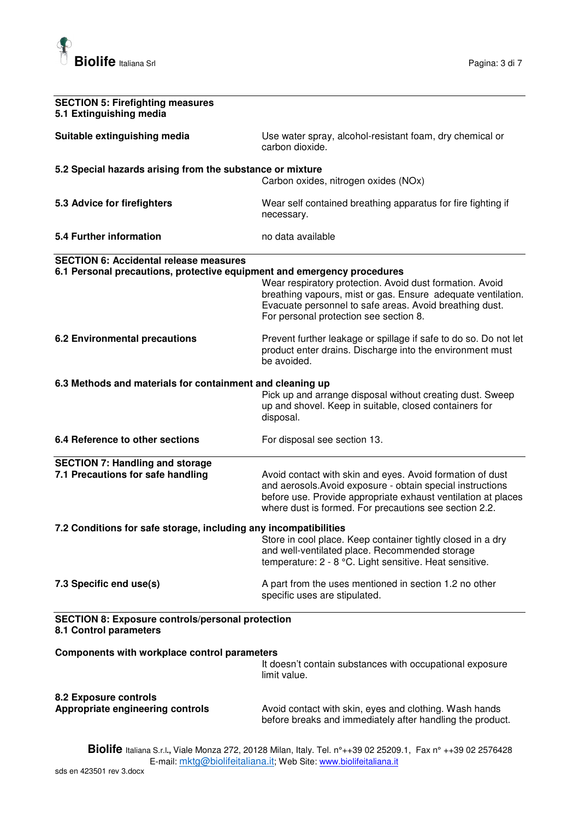

| <b>SECTION 5: Firefighting measures</b><br>5.1 Extinguishing media                                                       |                                                                                                                                                                                                                                                    |
|--------------------------------------------------------------------------------------------------------------------------|----------------------------------------------------------------------------------------------------------------------------------------------------------------------------------------------------------------------------------------------------|
| Suitable extinguishing media                                                                                             | Use water spray, alcohol-resistant foam, dry chemical or<br>carbon dioxide.                                                                                                                                                                        |
| 5.2 Special hazards arising from the substance or mixture                                                                | Carbon oxides, nitrogen oxides (NOx)                                                                                                                                                                                                               |
| 5.3 Advice for firefighters                                                                                              | Wear self contained breathing apparatus for fire fighting if<br>necessary.                                                                                                                                                                         |
| 5.4 Further information                                                                                                  | no data available                                                                                                                                                                                                                                  |
| <b>SECTION 6: Accidental release measures</b><br>6.1 Personal precautions, protective equipment and emergency procedures | Wear respiratory protection. Avoid dust formation. Avoid<br>breathing vapours, mist or gas. Ensure adequate ventilation.<br>Evacuate personnel to safe areas. Avoid breathing dust.<br>For personal protection see section 8.                      |
| <b>6.2 Environmental precautions</b>                                                                                     | Prevent further leakage or spillage if safe to do so. Do not let<br>product enter drains. Discharge into the environment must<br>be avoided.                                                                                                       |
| 6.3 Methods and materials for containment and cleaning up                                                                | Pick up and arrange disposal without creating dust. Sweep<br>up and shovel. Keep in suitable, closed containers for<br>disposal.                                                                                                                   |
| 6.4 Reference to other sections                                                                                          | For disposal see section 13.                                                                                                                                                                                                                       |
| <b>SECTION 7: Handling and storage</b><br>7.1 Precautions for safe handling                                              | Avoid contact with skin and eyes. Avoid formation of dust<br>and aerosols. Avoid exposure - obtain special instructions<br>before use. Provide appropriate exhaust ventilation at places<br>where dust is formed. For precautions see section 2.2. |
| 7.2 Conditions for safe storage, including any incompatibilities                                                         | Store in cool place. Keep container tightly closed in a dry<br>and well-ventilated place. Recommended storage<br>temperature: 2 - 8 °C. Light sensitive. Heat sensitive.                                                                           |
| 7.3 Specific end use(s)                                                                                                  | A part from the uses mentioned in section 1.2 no other<br>specific uses are stipulated.                                                                                                                                                            |
| <b>SECTION 8: Exposure controls/personal protection</b><br>8.1 Control parameters                                        |                                                                                                                                                                                                                                                    |
| Components with workplace control parameters                                                                             | It doesn't contain substances with occupational exposure<br>limit value.                                                                                                                                                                           |
| 8.2 Exposure controls<br>Appropriate engineering controls                                                                | Avoid contact with skin, eyes and clothing. Wash hands<br>before breaks and immediately after handling the product.                                                                                                                                |
|                                                                                                                          | <b>Righta</b> Italiana S.r. Viale Monza 272, 20128 Milan, Italy, Tel. nº i 39.02.25209.1. Fax nº i 139.02.2576428                                                                                                                                  |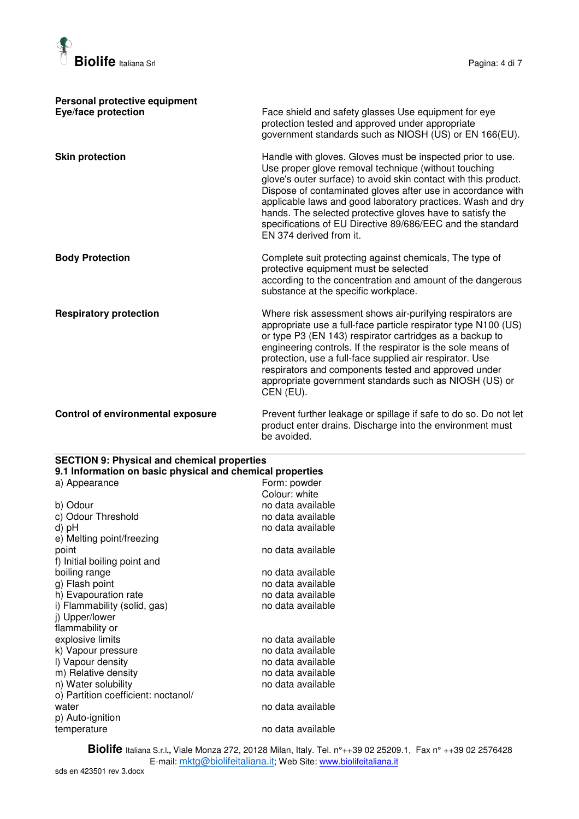

| Personal protective equipment<br>Eye/face protection | Face shield and safety glasses Use equipment for eye<br>protection tested and approved under appropriate<br>government standards such as NIOSH (US) or EN 166(EU).                                                                                                                                                                                                                                                                                                        |
|------------------------------------------------------|---------------------------------------------------------------------------------------------------------------------------------------------------------------------------------------------------------------------------------------------------------------------------------------------------------------------------------------------------------------------------------------------------------------------------------------------------------------------------|
| <b>Skin protection</b>                               | Handle with gloves. Gloves must be inspected prior to use.<br>Use proper glove removal technique (without touching<br>glove's outer surface) to avoid skin contact with this product.<br>Dispose of contaminated gloves after use in accordance with<br>applicable laws and good laboratory practices. Wash and dry<br>hands. The selected protective gloves have to satisfy the<br>specifications of EU Directive 89/686/EEC and the standard<br>EN 374 derived from it. |
| <b>Body Protection</b>                               | Complete suit protecting against chemicals, The type of<br>protective equipment must be selected<br>according to the concentration and amount of the dangerous<br>substance at the specific workplace.                                                                                                                                                                                                                                                                    |
| <b>Respiratory protection</b>                        | Where risk assessment shows air-purifying respirators are<br>appropriate use a full-face particle respirator type N100 (US)<br>or type P3 (EN 143) respirator cartridges as a backup to<br>engineering controls. If the respirator is the sole means of<br>protection, use a full-face supplied air respirator. Use<br>respirators and components tested and approved under<br>appropriate government standards such as NIOSH (US) or<br>CEN (EU).                        |
| <b>Control of environmental exposure</b>             | Prevent further leakage or spillage if safe to do so. Do not let                                                                                                                                                                                                                                                                                                                                                                                                          |

product enter drains. Discharge into the environment must be avoided.

| <b>SECTION 9: Physical and chemical properties</b><br>9.1 Information on basic physical and chemical properties |                   |  |
|-----------------------------------------------------------------------------------------------------------------|-------------------|--|
| a) Appearance                                                                                                   | Form: powder      |  |
|                                                                                                                 | Colour: white     |  |
| b) Odour                                                                                                        | no data available |  |
| c) Odour Threshold                                                                                              | no data available |  |
| d) pH                                                                                                           | no data available |  |
| e) Melting point/freezing                                                                                       |                   |  |
| point                                                                                                           | no data available |  |
| f) Initial boiling point and                                                                                    |                   |  |
| boiling range                                                                                                   | no data available |  |
| g) Flash point                                                                                                  | no data available |  |
| h) Evapouration rate                                                                                            | no data available |  |
| i) Flammability (solid, gas)                                                                                    | no data available |  |
| i) Upper/lower                                                                                                  |                   |  |
| flammability or                                                                                                 |                   |  |
| explosive limits                                                                                                | no data available |  |
| k) Vapour pressure                                                                                              | no data available |  |
| I) Vapour density                                                                                               | no data available |  |
| m) Relative density                                                                                             | no data available |  |
| n) Water solubility                                                                                             | no data available |  |
| o) Partition coefficient: noctanol/                                                                             |                   |  |
| water                                                                                                           | no data available |  |
| p) Auto-ignition                                                                                                |                   |  |
| temperature                                                                                                     | no data available |  |
|                                                                                                                 |                   |  |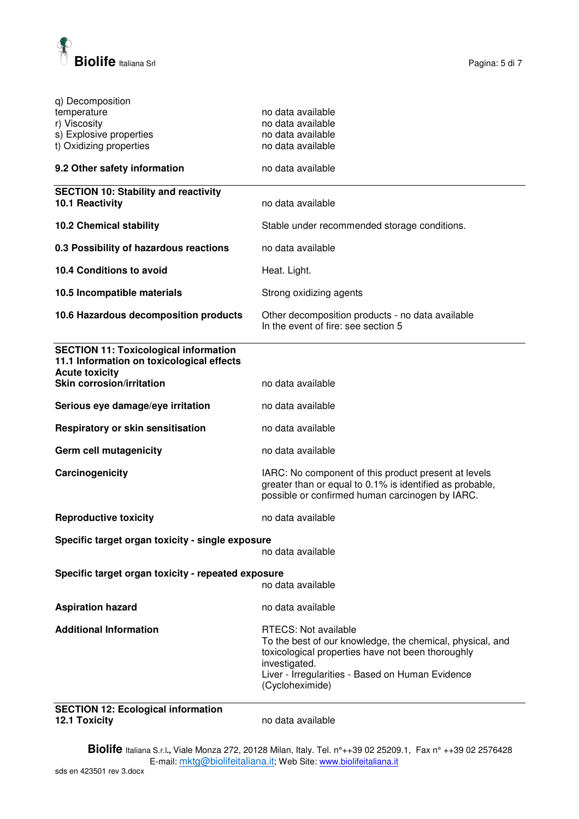

| q) Decomposition<br>temperature<br>r) Viscosity<br>s) Explosive properties<br>t) Oxidizing properties              | no data available<br>no data available<br>no data available<br>no data available                                                                                                                                                      |  |
|--------------------------------------------------------------------------------------------------------------------|---------------------------------------------------------------------------------------------------------------------------------------------------------------------------------------------------------------------------------------|--|
| 9.2 Other safety information                                                                                       | no data available                                                                                                                                                                                                                     |  |
| <b>SECTION 10: Stability and reactivity</b><br>10.1 Reactivity                                                     | no data available                                                                                                                                                                                                                     |  |
| <b>10.2 Chemical stability</b>                                                                                     | Stable under recommended storage conditions.                                                                                                                                                                                          |  |
| 0.3 Possibility of hazardous reactions                                                                             | no data available                                                                                                                                                                                                                     |  |
| <b>10.4 Conditions to avoid</b>                                                                                    | Heat. Light.                                                                                                                                                                                                                          |  |
| 10.5 Incompatible materials                                                                                        | Strong oxidizing agents                                                                                                                                                                                                               |  |
| 10.6 Hazardous decomposition products                                                                              | Other decomposition products - no data available<br>In the event of fire: see section 5                                                                                                                                               |  |
| <b>SECTION 11: Toxicological information</b><br>11.1 Information on toxicological effects<br><b>Acute toxicity</b> |                                                                                                                                                                                                                                       |  |
| <b>Skin corrosion/irritation</b>                                                                                   | no data available                                                                                                                                                                                                                     |  |
| Serious eye damage/eye irritation                                                                                  | no data available                                                                                                                                                                                                                     |  |
| Respiratory or skin sensitisation                                                                                  | no data available                                                                                                                                                                                                                     |  |
| Germ cell mutagenicity                                                                                             | no data available                                                                                                                                                                                                                     |  |
| Carcinogenicity                                                                                                    | IARC: No component of this product present at levels<br>greater than or equal to 0.1% is identified as probable,<br>possible or confirmed human carcinogen by IARC.                                                                   |  |
| <b>Reproductive toxicity</b>                                                                                       | no data available                                                                                                                                                                                                                     |  |
| Specific target organ toxicity - single exposure<br>no data available                                              |                                                                                                                                                                                                                                       |  |
| Specific target organ toxicity - repeated exposure<br>no data available                                            |                                                                                                                                                                                                                                       |  |
| <b>Aspiration hazard</b>                                                                                           | no data available                                                                                                                                                                                                                     |  |
| <b>Additional Information</b>                                                                                      | <b>RTECS: Not available</b><br>To the best of our knowledge, the chemical, physical, and<br>toxicological properties have not been thoroughly<br>investigated.<br>Liver - Irregularities - Based on Human Evidence<br>(Cycloheximide) |  |

**SECTION 12: Ecological information 12.1 Toxicity** no data available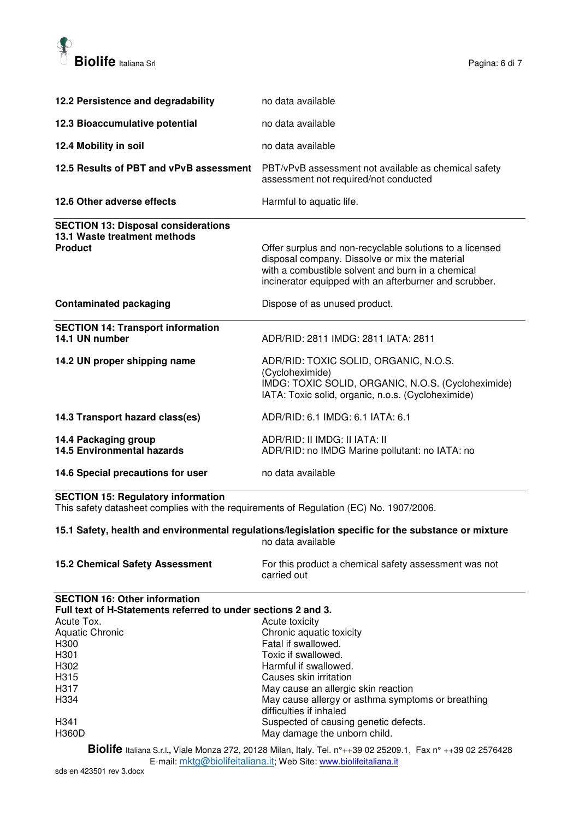

| 12.2 Persistence and degradability                                                           | no data available                                                                                                                                                                                                         |
|----------------------------------------------------------------------------------------------|---------------------------------------------------------------------------------------------------------------------------------------------------------------------------------------------------------------------------|
| 12.3 Bioaccumulative potential                                                               | no data available                                                                                                                                                                                                         |
| 12.4 Mobility in soil                                                                        | no data available                                                                                                                                                                                                         |
| 12.5 Results of PBT and vPvB assessment                                                      | PBT/vPvB assessment not available as chemical safety<br>assessment not required/not conducted                                                                                                                             |
| 12.6 Other adverse effects                                                                   | Harmful to aquatic life.                                                                                                                                                                                                  |
| <b>SECTION 13: Disposal considerations</b><br>13.1 Waste treatment methods<br><b>Product</b> | Offer surplus and non-recyclable solutions to a licensed<br>disposal company. Dissolve or mix the material<br>with a combustible solvent and burn in a chemical<br>incinerator equipped with an afterburner and scrubber. |
| <b>Contaminated packaging</b>                                                                | Dispose of as unused product.                                                                                                                                                                                             |
| <b>SECTION 14: Transport information</b><br>14.1 UN number                                   | ADR/RID: 2811 IMDG: 2811 IATA: 2811                                                                                                                                                                                       |
| 14.2 UN proper shipping name                                                                 | ADR/RID: TOXIC SOLID, ORGANIC, N.O.S.<br>(Cycloheximide)<br>IMDG: TOXIC SOLID, ORGANIC, N.O.S. (Cycloheximide)<br>IATA: Toxic solid, organic, n.o.s. (Cycloheximide)                                                      |
| 14.3 Transport hazard class(es)                                                              | ADR/RID: 6.1 IMDG: 6.1 IATA: 6.1                                                                                                                                                                                          |
| 14.4 Packaging group<br><b>14.5 Environmental hazards</b>                                    | ADR/RID: II IMDG: II IATA: II<br>ADR/RID: no IMDG Marine pollutant: no IATA: no                                                                                                                                           |
| 14.6 Special precautions for user                                                            | no data available                                                                                                                                                                                                         |

**SECTION 15: Regulatory information** 

This safety datasheet complies with the requirements of Regulation (EC) No. 1907/2006.

**15.1 Safety, health and environmental regulations/legislation specific for the substance or mixture**  no data available

| <b>15.2 Chemical Safety Assessment</b> | For this product a chemical safety assessment was not |
|----------------------------------------|-------------------------------------------------------|
|                                        | carried out                                           |

| <b>SECTION 16: Other information</b> |                                                                              |
|--------------------------------------|------------------------------------------------------------------------------|
|                                      | Full text of H-Statements referred to under sections 2 and 3.                |
| Acute Tox.                           | Acute toxicity                                                               |
| Aquatic Chronic                      | Chronic aquatic toxicity                                                     |
| H300                                 | Fatal if swallowed.                                                          |
| H <sub>301</sub>                     | Toxic if swallowed.                                                          |
| H302                                 | Harmful if swallowed.                                                        |
| H <sub>315</sub>                     | Causes skin irritation                                                       |
| H <sub>3</sub> 17                    | May cause an allergic skin reaction                                          |
| H334                                 | May cause allergy or asthma symptoms or breathing<br>difficulties if inhaled |
| H <sub>341</sub>                     | Suspected of causing genetic defects.                                        |
| <b>H360D</b>                         | May damage the unborn child.                                                 |
| m:: r .                              |                                                                              |